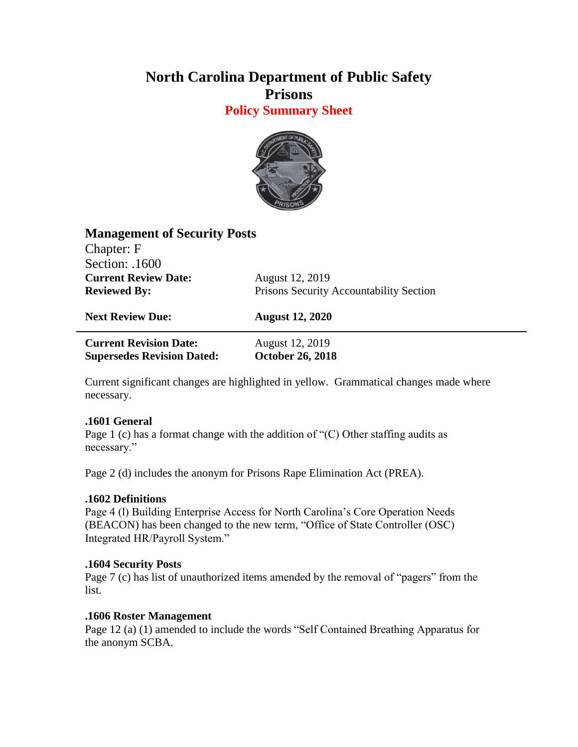# **North Carolina Department of Public Safety Prisons**

**Policy Summary Sheet**



| <b>Management of Security Posts</b> |                                         |
|-------------------------------------|-----------------------------------------|
| Chapter: F                          |                                         |
| Section: .1600                      |                                         |
| <b>Current Review Date:</b>         | August 12, 2019                         |
| <b>Reviewed By:</b>                 | Prisons Security Accountability Section |
| <b>Next Review Due:</b>             | <b>August 12, 2020</b>                  |
|                                     |                                         |

**Current Revision Date:** August 12, 2019 **Supersedes Revision Dated: October 26, 2018**

Current significant changes are highlighted in yellow. Grammatical changes made where necessary.

### **.1601 General**

Page 1 (c) has a format change with the addition of " $(C)$  Other staffing audits as necessary."

Page 2 (d) includes the anonym for Prisons Rape Elimination Act (PREA).

### **.1602 Definitions**

Page 4 (l) Building Enterprise Access for North Carolina's Core Operation Needs (BEACON) has been changed to the new term, "Office of State Controller (OSC) Integrated HR/Payroll System."

### **.1604 Security Posts**

Page 7 (c) has list of unauthorized items amended by the removal of "pagers" from the list.

### **.1606 Roster Management**

Page 12 (a) (1) amended to include the words "Self Contained Breathing Apparatus for the anonym SCBA.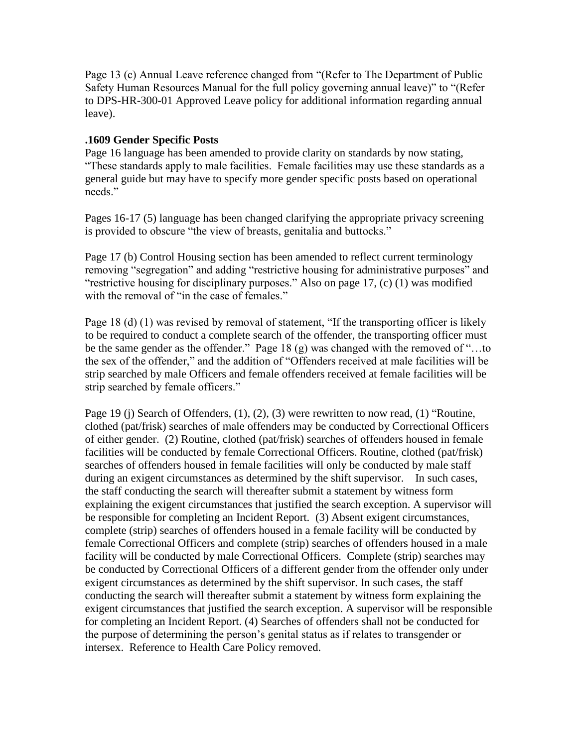Page 13 (c) Annual Leave reference changed from "(Refer to The Department of Public Safety Human Resources Manual for the full policy governing annual leave)" to "(Refer to DPS-HR-300-01 Approved Leave policy for additional information regarding annual leave).

#### **.1609 Gender Specific Posts**

Page 16 language has been amended to provide clarity on standards by now stating, "These standards apply to male facilities. Female facilities may use these standards as a general guide but may have to specify more gender specific posts based on operational needs."

Pages 16-17 (5) language has been changed clarifying the appropriate privacy screening is provided to obscure "the view of breasts, genitalia and buttocks."

Page 17 (b) Control Housing section has been amended to reflect current terminology removing "segregation" and adding "restrictive housing for administrative purposes" and "restrictive housing for disciplinary purposes." Also on page 17, (c) (1) was modified with the removal of "in the case of females."

Page 18 (d) (1) was revised by removal of statement, "If the transporting officer is likely to be required to conduct a complete search of the offender, the transporting officer must be the same gender as the offender." Page 18 (g) was changed with the removed of "…to the sex of the offender," and the addition of "Offenders received at male facilities will be strip searched by male Officers and female offenders received at female facilities will be strip searched by female officers."

Page 19 (j) Search of Offenders, (1), (2), (3) were rewritten to now read, (1) "Routine, clothed (pat/frisk) searches of male offenders may be conducted by Correctional Officers of either gender. (2) Routine, clothed (pat/frisk) searches of offenders housed in female facilities will be conducted by female Correctional Officers. Routine, clothed (pat/frisk) searches of offenders housed in female facilities will only be conducted by male staff during an exigent circumstances as determined by the shift supervisor. In such cases, the staff conducting the search will thereafter submit a statement by witness form explaining the exigent circumstances that justified the search exception. A supervisor will be responsible for completing an Incident Report. (3) Absent exigent circumstances, complete (strip) searches of offenders housed in a female facility will be conducted by female Correctional Officers and complete (strip) searches of offenders housed in a male facility will be conducted by male Correctional Officers. Complete (strip) searches may be conducted by Correctional Officers of a different gender from the offender only under exigent circumstances as determined by the shift supervisor. In such cases, the staff conducting the search will thereafter submit a statement by witness form explaining the exigent circumstances that justified the search exception. A supervisor will be responsible for completing an Incident Report. (4) Searches of offenders shall not be conducted for the purpose of determining the person's genital status as if relates to transgender or intersex. Reference to Health Care Policy removed.